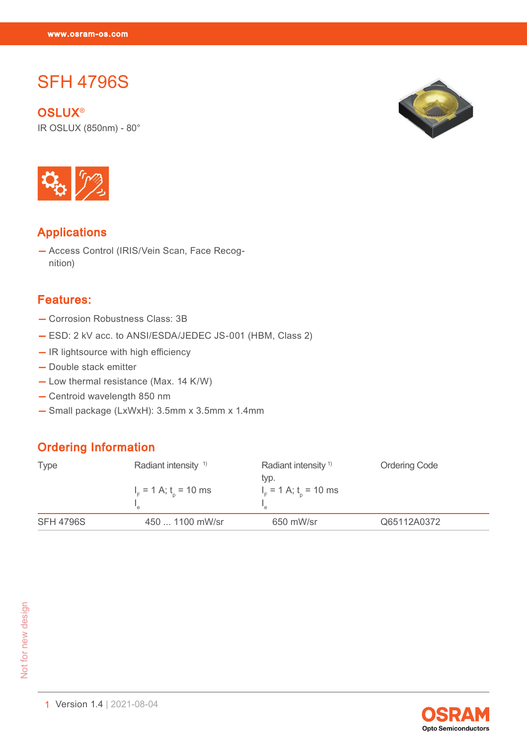SFH 4796 SFH 4796 SFH 4796 SFH 4796<br>SFH 4796

# SFH 4796S

**OSLUX®** IR OSLUX (850nm) - 80°





#### Applications

— Access Control (IRIS/Vein Scan, Face Recognition)

#### Features:

- Corrosion Robustness Class: 3B
- ESD: 2 kV acc. to ANSI/ESDA/JEDEC JS-001 (HBM, Class 2)
- IR lightsource with high efficiency
- Double stack emitter
- Low thermal resistance (Max. 14 K/W)
- Centroid wavelength 850 nm
- Small package (LxWxH): 3.5mm x 3.5mm x 1.4mm

#### Ordering Information

| <b>Type</b>      | Radiant intensity <sup>1)</sup><br>$IF$ = 1 A; t <sub>n</sub> = 10 ms | Radiant intensity $1$<br>typ.<br>$IF$ = 1 A; t <sub>n</sub> = 10 ms | <b>Ordering Code</b> |
|------------------|-----------------------------------------------------------------------|---------------------------------------------------------------------|----------------------|
| <b>SFH 4796S</b> | 450  1100 mW/sr                                                       | 650 mW/sr                                                           | Q65112A0372          |

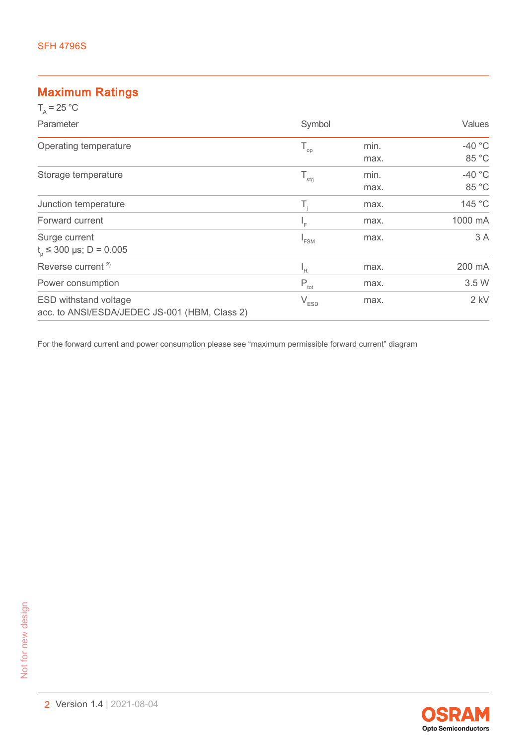#### Maximum Ratings

| $T_{0}$ = 25 °C                                                               |                          |              |                          |
|-------------------------------------------------------------------------------|--------------------------|--------------|--------------------------|
| Parameter                                                                     | Symbol                   |              | Values                   |
| Operating temperature                                                         | $\mathsf{T}_{\text{op}}$ | min.<br>max. | -40 $\degree$ C<br>85 °C |
| Storage temperature                                                           | $T_{\rm stg}$            | min.<br>max. | $-40$ °C<br>85 °C        |
| Junction temperature                                                          | T,                       | max.         | 145 °C                   |
| Forward current                                                               | ١F                       | max.         | 1000 mA                  |
| Surge current<br>$t_{0} \le 300 \text{ }\mu\text{s}$ ; D = 0.005              | <sup>"</sup> FSM         | max.         | 3 A                      |
| Reverse current <sup>2)</sup>                                                 | $I_R$                    | max.         | 200 mA                   |
| Power consumption                                                             | $P_{\text{tot}}$         | max.         | 3.5 W                    |
| <b>ESD withstand voltage</b><br>acc. to ANSI/ESDA/JEDEC JS-001 (HBM, Class 2) | $V_{ESD}$                | max.         | $2$ kV                   |

For the forward current and power consumption please see "maximum permissible forward current" diagram

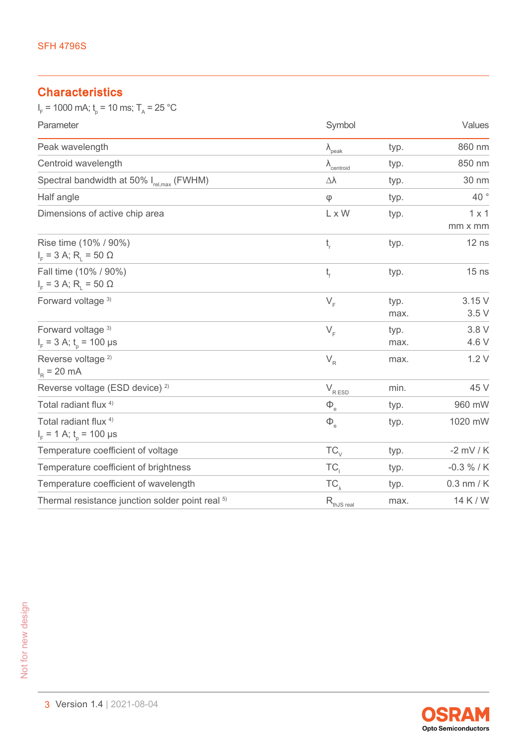### **Characteristics**

 $I_F$  = 1000 mA;  $t_p$  = 10 ms;  $T_A$  = 25 °C

| Parameter                                                            | Symbol                                               |              | Values                  |  |
|----------------------------------------------------------------------|------------------------------------------------------|--------------|-------------------------|--|
| Peak wavelength                                                      | $\lambda_{\text{peak}}$                              | typ.         | 860 nm                  |  |
| Centroid wavelength                                                  | $\lambda$ <sub>centroid</sub>                        | typ.         | 850 nm                  |  |
| Spectral bandwidth at 50% I <sub>rel,max</sub> (FWHM)                | Δλ                                                   | typ.         | 30 nm                   |  |
| Half angle                                                           | φ                                                    | typ.         | 40°                     |  |
| Dimensions of active chip area                                       | L x W                                                | typ.         | $1 \times 1$<br>mm x mm |  |
| Rise time (10% / 90%)<br>$I_{F}$ = 3 A; R <sub>1</sub> = 50 $\Omega$ | $t_{\rm r}$                                          | typ.         | $12$ ns                 |  |
| Fall time (10% / 90%)<br>$I_{F}$ = 3 A; R <sub>1</sub> = 50 $\Omega$ | $t_{\rm f}$                                          | typ.         | $15$ ns                 |  |
| Forward voltage 3)                                                   | $V_F$                                                | typ.<br>max. | 3.15V<br>3.5V           |  |
| Forward voltage 3)<br>$I_F$ = 3 A; $t_0$ = 100 µs                    | $V_F$                                                | typ.<br>max. | 3.8 V<br>4.6 V          |  |
| Reverse voltage <sup>2)</sup><br>$I_R = 20 \text{ mA}$               | $V_R$                                                | max.         | 1.2V                    |  |
| Reverse voltage (ESD device) <sup>2)</sup>                           | $\mathsf{V}_{\mathsf{R}}_{\underline{\mathsf{ESD}}}$ | min.         | 45 V                    |  |
| Total radiant flux <sup>4)</sup>                                     | $\Phi_{\rm e}$                                       | typ.         | 960 mW                  |  |
| Total radiant flux <sup>4)</sup><br>$I_F$ = 1 A; $t_p$ = 100 µs      | $\Phi_{_{\rm e}}$                                    | typ.         | 1020 mW                 |  |
| Temperature coefficient of voltage                                   | $TC_{\vee}$                                          | typ.         | $-2$ mV / K             |  |
| Temperature coefficient of brightness                                | TC,                                                  | typ.         | $-0.3 \% / K$           |  |
| Temperature coefficient of wavelength                                | $TC_{\lambda}$                                       | typ.         | $0.3$ nm / K            |  |
| Thermal resistance junction solder point real <sup>5)</sup>          | $R_{thJS\,real}$                                     | max.         | 14 K / W                |  |

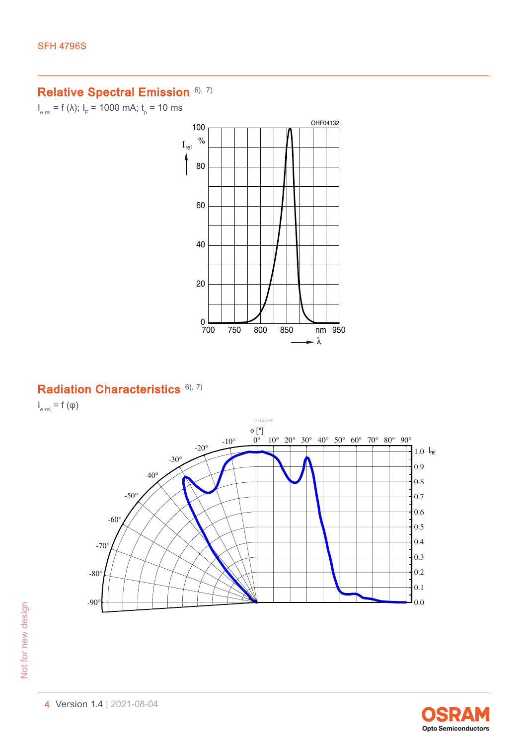#### Relative Spectral Emission [6\),](#page-12-0) [7\)](#page-12-0)

 $I_{e,rel}$  = f (λ);  $I_{F}$  = 1000 mA;  $t_{p}$  = 10 ms



#### Radiation Characteristics [6\),](#page-12-0) [7\)](#page-12-0)

 $I_{\text{e,rel}} = f(\phi)$ 



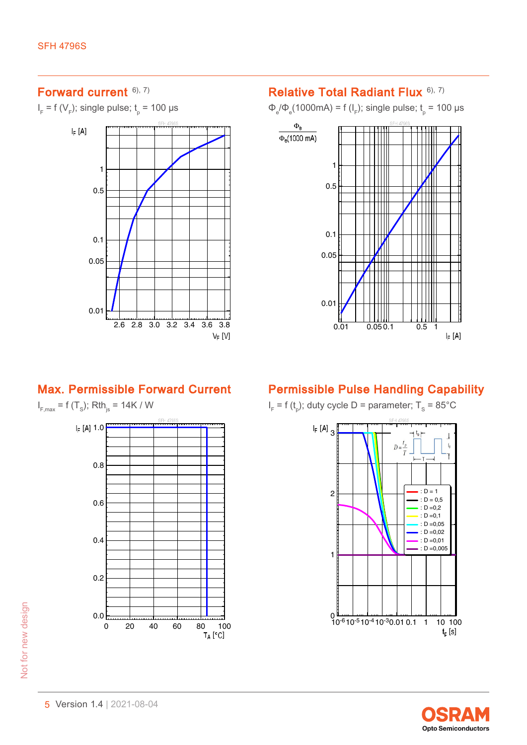# Forward current [6\),](#page-12-0) [7\)](#page-12-0)

 $I_F$  = f (V<sub>F</sub>); single pulse;  $t_{p}$  = 100 µs



#### Relative Total Radiant Flux [6\),](#page-12-0) [7\)](#page-12-0)

Φ<sub>e</sub>/Φ<sub>e</sub>(1000mA) = f (I<sub>F</sub>); single pulse; t<sub>p</sub> = 100 µs



#### Max. Permissible Forward Current

 $I_{F, \text{max}} = f(T_s); Rth_{js} = 14K / W$ 



# Permissible Pulse Handling Capability

 $I_F$  = f (t<sub>p</sub>); duty cycle D = parameter; T<sub>s</sub> = 85°C

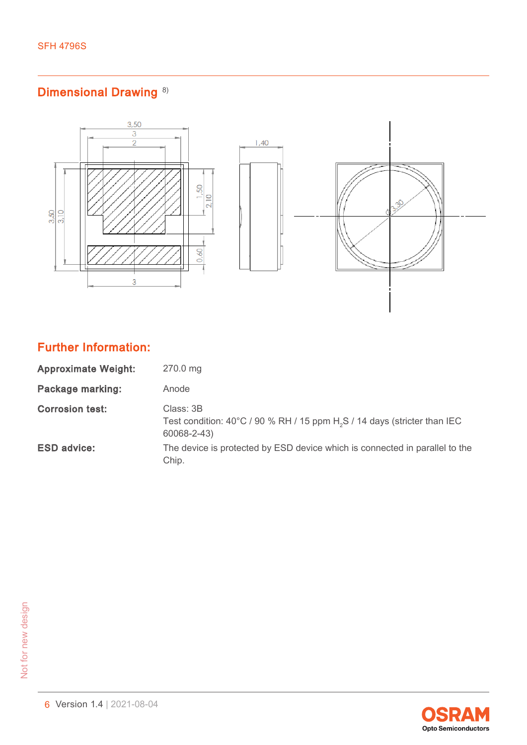# Dimensional Drawing<sup>[8\)](#page-12-0)</sup>



# Further Information:

| <b>Approximate Weight:</b> | 270.0 mg                                                                                                                    |
|----------------------------|-----------------------------------------------------------------------------------------------------------------------------|
| <b>Package marking:</b>    | Anode                                                                                                                       |
| <b>Corrosion test:</b>     | Class: 3B<br>Test condition: $40^{\circ}$ C / 90 % RH / 15 ppm H <sub>2</sub> S / 14 days (stricter than IEC<br>60068-2-43) |
| <b>ESD advice:</b>         | The device is protected by ESD device which is connected in parallel to the<br>Chip.                                        |

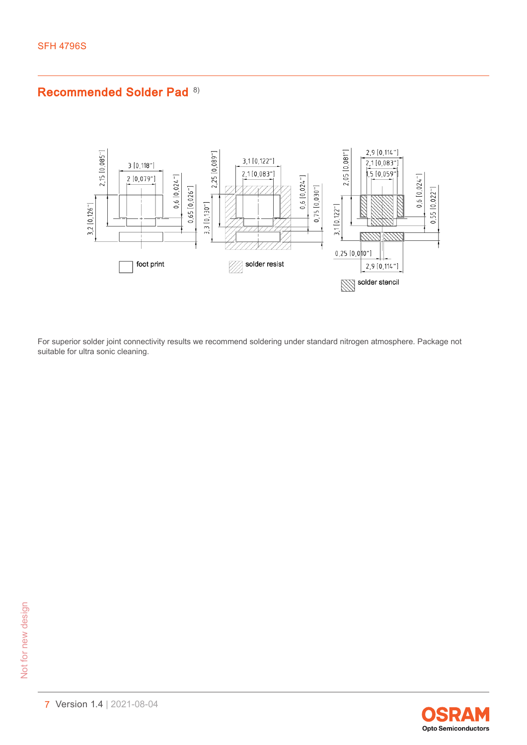### Recommended Solder Pad<sup>[8\)](#page-12-0)</sup>



For superior solder joint connectivity results we recommend soldering under standard nitrogen atmosphere. Package not suitable for ultra sonic cleaning.

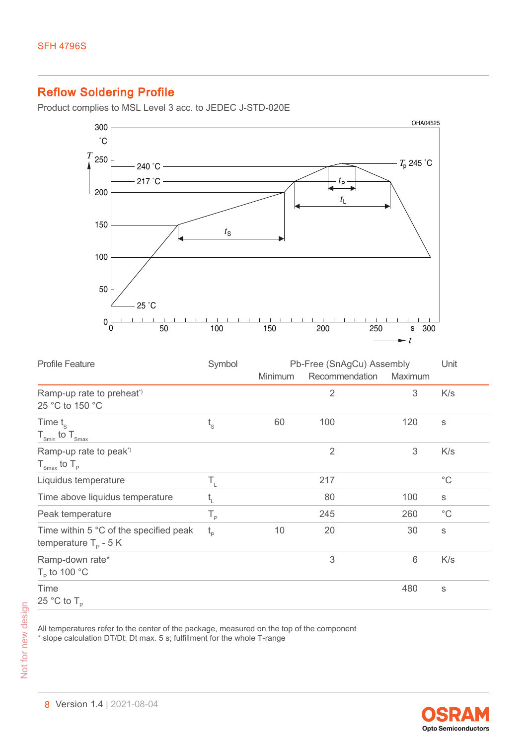## Reflow Soldering Profile

Product complies to MSL Level 3 acc. to JEDEC J-STD-020E



| <b>Profile Feature</b>                                                   | Symbol                      | Pb-Free (SnAgCu) Assembly |                |         | Unit         |
|--------------------------------------------------------------------------|-----------------------------|---------------------------|----------------|---------|--------------|
|                                                                          |                             | Minimum                   | Recommendation | Maximum |              |
| Ramp-up rate to preheat <sup>*</sup><br>25 °C to 150 °C                  |                             |                           | $\overline{2}$ | 3       | K/s          |
| Time $t_{\rm s}$<br>$T_{\text{Smin}}$ to $T_{\text{Smax}}$               | $\mathfrak{t}_{\mathrm{s}}$ | 60                        | 100            | 120     | S            |
| Ramp-up rate to peak <sup>*</sup><br>$T_{\text{Smax}}$ to $T_{\text{p}}$ |                             |                           | $\overline{2}$ | 3       | K/s          |
| Liquidus temperature                                                     | Т,                          |                           | 217            |         | $^{\circ}$ C |
| Time above liquidus temperature                                          | $t_{\text{\tiny L}}$        |                           | 80             | 100     | S            |
| Peak temperature                                                         | $T_{\rm p}$                 |                           | 245            | 260     | $^{\circ}$ C |
| Time within 5 °C of the specified peak<br>temperature $T_p - 5K$         | $t_{p}$                     | 10                        | 20             | 30      | S            |
| Ramp-down rate*<br>$T_{\rm p}$ to 100 °C                                 |                             |                           | 3              | 6       | K/s          |
| Time<br>25 °C to $T_{\rm p}$                                             |                             |                           |                | 480     | S            |

All temperatures refer to the center of the package, measured on the top of the component \* slope calculation DT/Dt: Dt max. 5 s; fulfillment for the whole T-range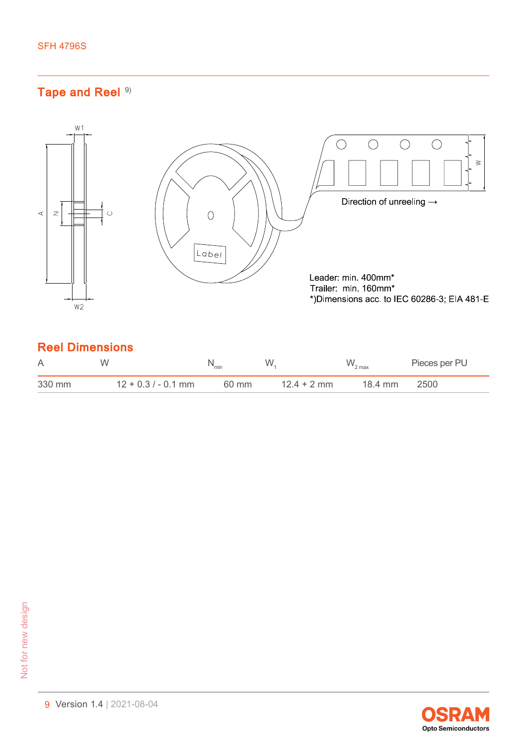# Tape and Reel [9\)](#page-12-0)



# Reel Dimensions

| A      | W                     | "min  | W             | $W_{2 \max}$ | Pieces per PU |
|--------|-----------------------|-------|---------------|--------------|---------------|
| 330 mm | $12 + 0.3 / - 0.1$ mm | 60 mm | $12.4 + 2$ mm | 18.4 mm      | 2500          |

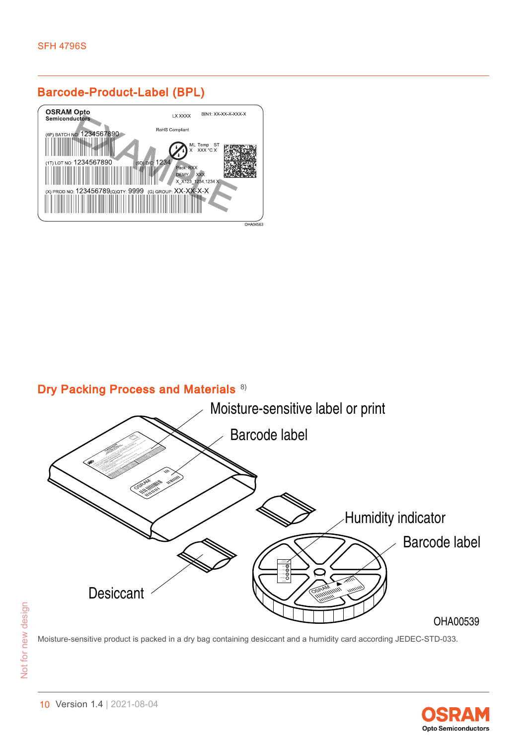# Barcode-Product-Label (BPL)



# Dry Packing Process and Materials [8\)](#page-12-0)



Moisture-sensitive product is packed in a dry bag containing desiccant and a humidity card according JEDEC-STD-033.

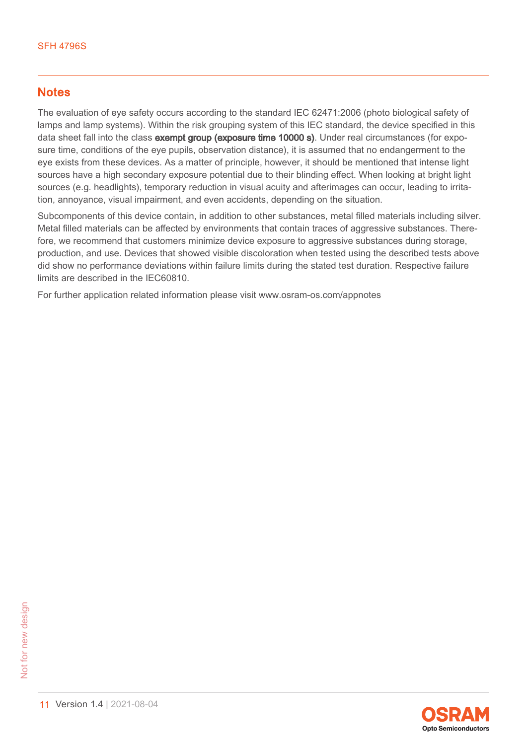#### **Notes**

The evaluation of eye safety occurs according to the standard IEC 62471:2006 (photo biological safety of lamps and lamp systems). Within the risk grouping system of this IEC standard, the device specified in this data sheet fall into the class exempt group (exposure time 10000 s). Under real circumstances (for exposure time, conditions of the eye pupils, observation distance), it is assumed that no endangerment to the eye exists from these devices. As a matter of principle, however, it should be mentioned that intense light sources have a high secondary exposure potential due to their blinding effect. When looking at bright light sources (e.g. headlights), temporary reduction in visual acuity and afterimages can occur, leading to irritation, annoyance, visual impairment, and even accidents, depending on the situation.

Subcomponents of this device contain, in addition to other substances, metal filled materials including silver. Metal filled materials can be affected by environments that contain traces of aggressive substances. Therefore, we recommend that customers minimize device exposure to aggressive substances during storage, production, and use. Devices that showed visible discoloration when tested using the described tests above did show no performance deviations within failure limits during the stated test duration. Respective failure limits are described in the IEC60810.

For further application related information please visit www.osram-os.com/appnotes

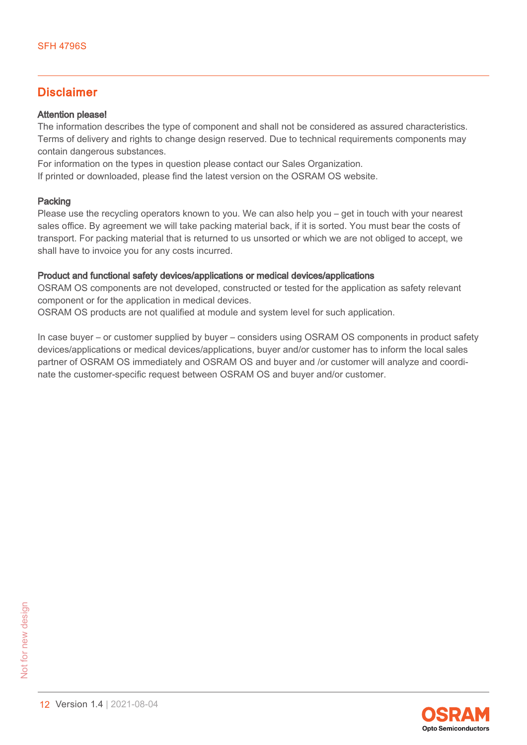#### Disclaimer

#### Attention please!

The information describes the type of component and shall not be considered as assured characteristics. Terms of delivery and rights to change design reserved. Due to technical requirements components may contain dangerous substances.

For information on the types in question please contact our Sales Organization.

If printed or downloaded, please find the latest version on the OSRAM OS website.

#### Packing

Please use the recycling operators known to you. We can also help you – get in touch with your nearest sales office. By agreement we will take packing material back, if it is sorted. You must bear the costs of transport. For packing material that is returned to us unsorted or which we are not obliged to accept, we shall have to invoice you for any costs incurred.

#### Product and functional safety devices/applications or medical devices/applications

OSRAM OS components are not developed, constructed or tested for the application as safety relevant component or for the application in medical devices.

OSRAM OS products are not qualified at module and system level for such application.

In case buyer – or customer supplied by buyer – considers using OSRAM OS components in product safety devices/applications or medical devices/applications, buyer and/or customer has to inform the local sales partner of OSRAM OS immediately and OSRAM OS and buyer and /or customer will analyze and coordinate the customer-specific request between OSRAM OS and buyer and/or customer.

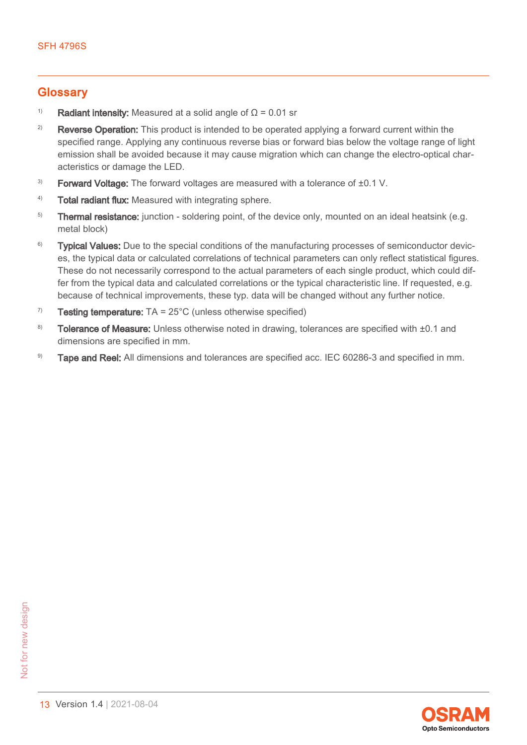#### <span id="page-12-0"></span>**Glossary**

- <sup>1)</sup> Radiant intensity: Measured at a solid angle of  $\Omega$  = 0.01 sr
- <sup>2)</sup> Reverse Operation: This product is intended to be operated applying a forward current within the specified range. Applying any continuous reverse bias or forward bias below the voltage range of light emission shall be avoided because it may cause migration which can change the electro-optical characteristics or damage the LED.
- $3)$  Forward Voltage: The forward voltages are measured with a tolerance of  $\pm 0.1$  V.
- 4) Total radiant flux: Measured with integrating sphere.
- <sup>5)</sup> Thermal resistance: junction soldering point, of the device only, mounted on an ideal heatsink (e.g. metal block)
- $6$ ) Typical Values: Due to the special conditions of the manufacturing processes of semiconductor devices, the typical data or calculated correlations of technical parameters can only reflect statistical figures. These do not necessarily correspond to the actual parameters of each single product, which could differ from the typical data and calculated correlations or the typical characteristic line. If requested, e.g. because of technical improvements, these typ. data will be changed without any further notice.
- $7$  Testing temperature: TA = 25 $^{\circ}$ C (unless otherwise specified)
- 8) Tolerance of Measure: Unless otherwise noted in drawing, tolerances are specified with  $\pm 0.1$  and dimensions are specified in mm.
- 9) Tape and Reel: All dimensions and tolerances are specified acc. IEC 60286-3 and specified in mm.

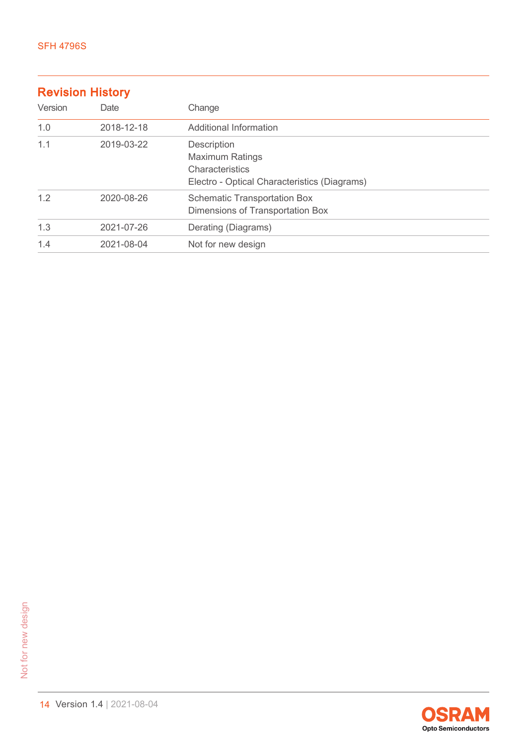#### Revision History

| Version | Date       | Change                                                                                                   |
|---------|------------|----------------------------------------------------------------------------------------------------------|
| 1.0     | 2018-12-18 | Additional Information                                                                                   |
| 1.1     | 2019-03-22 | Description<br><b>Maximum Ratings</b><br>Characteristics<br>Electro - Optical Characteristics (Diagrams) |
| 1.2     | 2020-08-26 | <b>Schematic Transportation Box</b><br>Dimensions of Transportation Box                                  |
| 1.3     | 2021-07-26 | Derating (Diagrams)                                                                                      |
| 1.4     | 2021-08-04 | Not for new design                                                                                       |